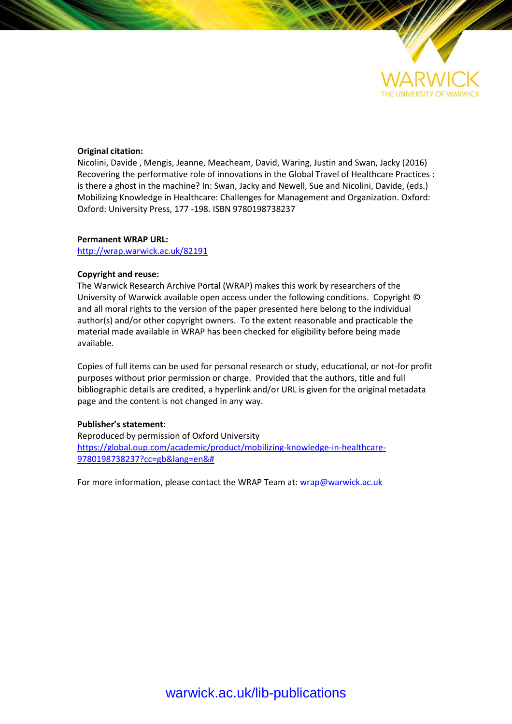

# **Original citation:**

Nicolini, Davide , Mengis, Jeanne, Meacheam, David, Waring, Justin and Swan, Jacky (2016) Recovering the performative role of innovations in the Global Travel of Healthcare Practices : is there a ghost in the machine? In: Swan, Jacky and Newell, Sue and Nicolini, Davide, (eds.) Mobilizing Knowledge in Healthcare: Challenges for Management and Organization. Oxford: Oxford: University Press, 177 -198. ISBN 9780198738237

# **Permanent WRAP URL:**

<http://wrap.warwick.ac.uk/82191>

# **Copyright and reuse:**

The Warwick Research Archive Portal (WRAP) makes this work by researchers of the University of Warwick available open access under the following conditions. Copyright © and all moral rights to the version of the paper presented here belong to the individual author(s) and/or other copyright owners. To the extent reasonable and practicable the material made available in WRAP has been checked for eligibility before being made available.

Copies of full items can be used for personal research or study, educational, or not-for profit purposes without prior permission or charge. Provided that the authors, title and full bibliographic details are credited, a hyperlink and/or URL is given for the original metadata page and the content is not changed in any way.

# **Publisher's statement:**

Reproduced by permission of Oxford University [https://global.oup.com/academic/product/mobilizing-knowledge-in-healthcare-](https://global.oup.com/academic/product/mobilizing-knowledge-in-healthcare-9780198738237?cc=gb&lang=en&)[9780198738237?cc=gb&lang=en&#](https://global.oup.com/academic/product/mobilizing-knowledge-in-healthcare-9780198738237?cc=gb&lang=en&)

For more information, please contact the WRAP Team at[: wrap@warwick.ac.uk](mailto:wrap@warwick.ac.uk)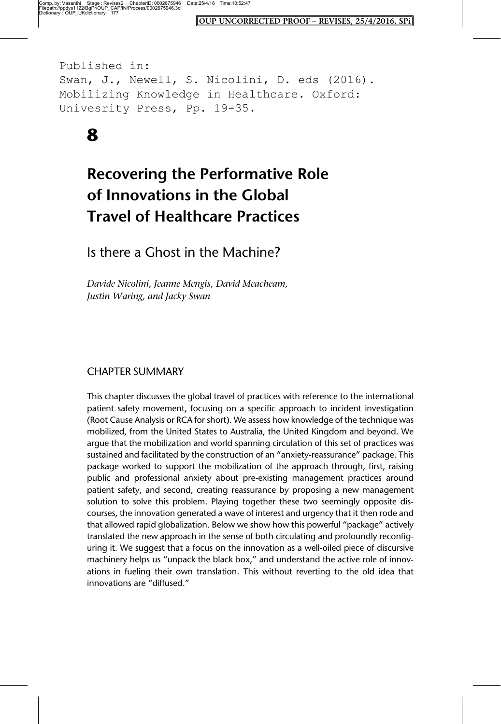Comp. by: Vasanthi Stage : Revises2 ChapterID: 0002675946 Date:25/4/16 Time:10:52:47<br>Filepath://ppdys1122/BgPr/OUP\_CAP/IN/Process/0002675946.3d Dictionary : OUP\_UKdictionary 177

**OUP UNCORRECTED PROOF – REVISES, 25/4/2016, SPi**

Published in: Swan, J., Newell, S. Nicolini, D. eds (2016). Mobilizing Knowledge in Healthcare. Oxford: Univesrity Press, Pp. 19-35.

# **8**

# **Recovering the Performative Role of Innovations in the Global Travel of Healthcare Practices**

# Is there a Ghost in the Machine?

*Davide Nicolini, Jeanne Mengis, David Meacheam, Justin Waring, and Jacky Swan*

# CHAPTER SUMMARY

This chapter discusses the global travel of practices with reference to the international patient safety movement, focusing on a specific approach to incident investigation (Root Cause Analysis or RCA for short). We assess how knowledge of the technique was mobilized, from the United States to Australia, the United Kingdom and beyond. We argue that the mobilization and world spanning circulation of this set of practices was sustained and facilitated by the construction of an "anxiety-reassurance" package. This package worked to support the mobilization of the approach through, first, raising public and professional anxiety about pre-existing management practices around patient safety, and second, creating reassurance by proposing a new management solution to solve this problem. Playing together these two seemingly opposite discourses, the innovation generated a wave of interest and urgency that it then rode and that allowed rapid globalization. Below we show how this powerful "package" actively translated the new approach in the sense of both circulating and profoundly reconfiguring it. We suggest that a focus on the innovation as a well-oiled piece of discursive machinery helps us "unpack the black box," and understand the active role of innovations in fueling their own translation. This without reverting to the old idea that innovations are "diffused."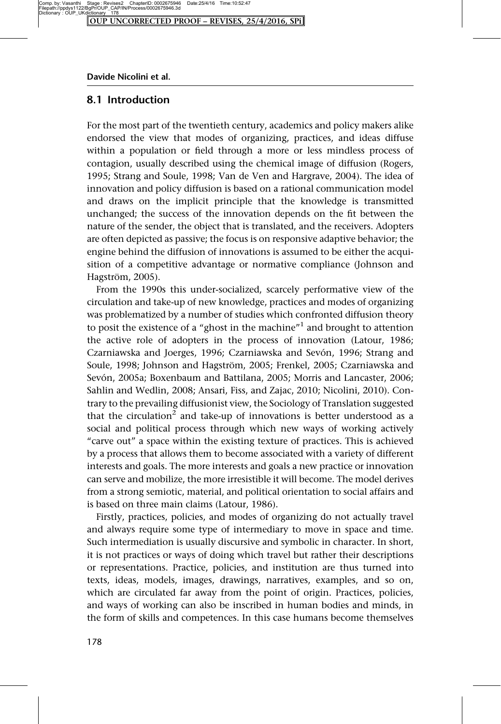# **8.1 Introduction**

For the most part of the twentieth century, academics and policy makers alike endorsed the view that modes of organizing, practices, and ideas diffuse within a population or field through a more or less mindless process of contagion, usually described using the chemical image of diffusion (Rogers, 1995; Strang and Soule, 1998; Van de Ven and Hargrave, 2004). The idea of innovation and policy diffusion is based on a rational communication model and draws on the implicit principle that the knowledge is transmitted unchanged; the success of the innovation depends on the fit between the nature of the sender, the object that is translated, and the receivers. Adopters are often depicted as passive; the focus is on responsive adaptive behavior; the engine behind the diffusion of innovations is assumed to be either the acquisition of a competitive advantage or normative compliance (Johnson and Hagström, 2005).

From the 1990s this under-socialized, scarcely performative view of the circulation and take-up of new knowledge, practices and modes of organizing was problematized by a number of studies which confronted diffusion theory to posit the existence of a "ghost in the machine"<sup>1</sup> and brought to attention the active role of adopters in the process of innovation (Latour, 1986; Czarniawska and Joerges, 1996; Czarniawska and Sevón, 1996; Strang and Soule, 1998; Johnson and Hagström, 2005; Frenkel, 2005; Czarniawska and Sevón, 2005a; Boxenbaum and Battilana, 2005; Morris and Lancaster, 2006; Sahlin and Wedlin, 2008; Ansari, Fiss, and Zajac, 2010; Nicolini, 2010). Contrary to the prevailing diffusionist view, the Sociology of Translation suggested that the circulation<sup>2</sup> and take-up of innovations is better understood as a social and political process through which new ways of working actively "carve out" a space within the existing texture of practices. This is achieved by a process that allows them to become associated with a variety of different interests and goals. The more interests and goals a new practice or innovation can serve and mobilize, the more irresistible it will become. The model derives from a strong semiotic, material, and political orientation to social affairs and is based on three main claims (Latour, 1986).

Firstly, practices, policies, and modes of organizing do not actually travel and always require some type of intermediary to move in space and time. Such intermediation is usually discursive and symbolic in character. In short, it is not practices or ways of doing which travel but rather their descriptions or representations. Practice, policies, and institution are thus turned into texts, ideas, models, images, drawings, narratives, examples, and so on, which are circulated far away from the point of origin. Practices, policies, and ways of working can also be inscribed in human bodies and minds, in the form of skills and competences. In this case humans become themselves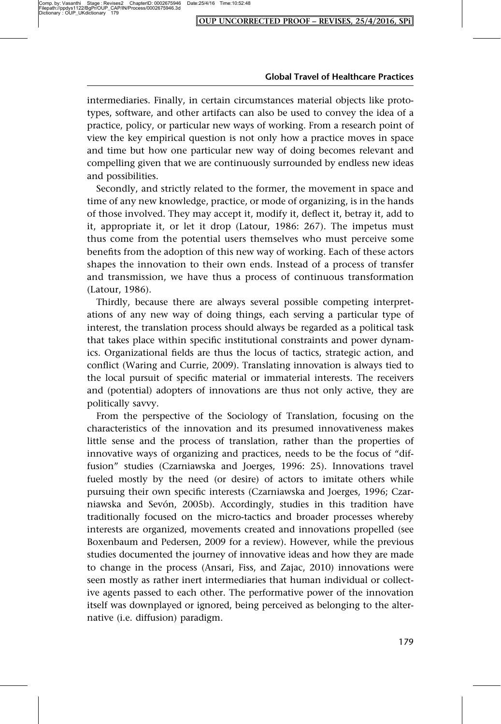## **Global Travel of Healthcare Practices**

intermediaries. Finally, in certain circumstances material objects like prototypes, software, and other artifacts can also be used to convey the idea of a practice, policy, or particular new ways of working. From a research point of view the key empirical question is not only how a practice moves in space and time but how one particular new way of doing becomes relevant and compelling given that we are continuously surrounded by endless new ideas and possibilities.

Secondly, and strictly related to the former, the movement in space and time of any new knowledge, practice, or mode of organizing, is in the hands of those involved. They may accept it, modify it, deflect it, betray it, add to it, appropriate it, or let it drop (Latour, 1986: 267). The impetus must thus come from the potential users themselves who must perceive some benefits from the adoption of this new way of working. Each of these actors shapes the innovation to their own ends. Instead of a process of transfer and transmission, we have thus a process of continuous transformation (Latour, 1986).

Thirdly, because there are always several possible competing interpretations of any new way of doing things, each serving a particular type of interest, the translation process should always be regarded as a political task that takes place within specific institutional constraints and power dynamics. Organizational fields are thus the locus of tactics, strategic action, and conflict (Waring and Currie, 2009). Translating innovation is always tied to the local pursuit of specific material or immaterial interests. The receivers and (potential) adopters of innovations are thus not only active, they are politically savvy.

From the perspective of the Sociology of Translation, focusing on the characteristics of the innovation and its presumed innovativeness makes little sense and the process of translation, rather than the properties of innovative ways of organizing and practices, needs to be the focus of "diffusion" studies (Czarniawska and Joerges, 1996: 25). Innovations travel fueled mostly by the need (or desire) of actors to imitate others while pursuing their own specific interests (Czarniawska and Joerges, 1996; Czarniawska and Sevón, 2005b). Accordingly, studies in this tradition have traditionally focused on the micro-tactics and broader processes whereby interests are organized, movements created and innovations propelled (see Boxenbaum and Pedersen, 2009 for a review). However, while the previous studies documented the journey of innovative ideas and how they are made to change in the process (Ansari, Fiss, and Zajac, 2010) innovations were seen mostly as rather inert intermediaries that human individual or collective agents passed to each other. The performative power of the innovation itself was downplayed or ignored, being perceived as belonging to the alternative (i.e. diffusion) paradigm.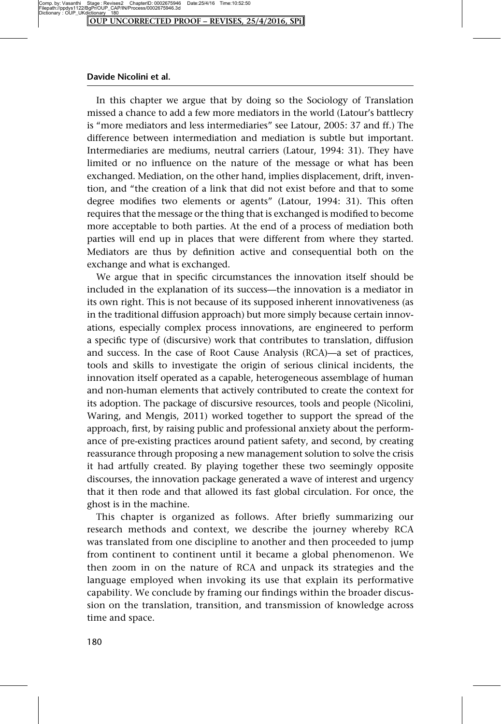#### **Davide Nicolini et al.**

In this chapter we argue that by doing so the Sociology of Translation missed a chance to add a few more mediators in the world (Latour's battlecry is "more mediators and less intermediaries" see Latour, 2005: 37 and ff.) The difference between intermediation and mediation is subtle but important. Intermediaries are mediums, neutral carriers (Latour, 1994: 31). They have limited or no influence on the nature of the message or what has been exchanged. Mediation, on the other hand, implies displacement, drift, invention, and "the creation of a link that did not exist before and that to some degree modifies two elements or agents" (Latour, 1994: 31). This often requires that the message or the thing that is exchanged is modified to become more acceptable to both parties. At the end of a process of mediation both parties will end up in places that were different from where they started. Mediators are thus by definition active and consequential both on the exchange and what is exchanged.

We argue that in specific circumstances the innovation itself should be included in the explanation of its success—the innovation is a mediator in its own right. This is not because of its supposed inherent innovativeness (as in the traditional diffusion approach) but more simply because certain innovations, especially complex process innovations, are engineered to perform a specific type of (discursive) work that contributes to translation, diffusion and success. In the case of Root Cause Analysis (RCA)—a set of practices, tools and skills to investigate the origin of serious clinical incidents, the innovation itself operated as a capable, heterogeneous assemblage of human and non-human elements that actively contributed to create the context for its adoption. The package of discursive resources, tools and people (Nicolini, Waring, and Mengis, 2011) worked together to support the spread of the approach, first, by raising public and professional anxiety about the performance of pre-existing practices around patient safety, and second, by creating reassurance through proposing a new management solution to solve the crisis it had artfully created. By playing together these two seemingly opposite discourses, the innovation package generated a wave of interest and urgency that it then rode and that allowed its fast global circulation. For once, the ghost is in the machine.

This chapter is organized as follows. After briefly summarizing our research methods and context, we describe the journey whereby RCA was translated from one discipline to another and then proceeded to jump from continent to continent until it became a global phenomenon. We then zoom in on the nature of RCA and unpack its strategies and the language employed when invoking its use that explain its performative capability. We conclude by framing our findings within the broader discussion on the translation, transition, and transmission of knowledge across time and space.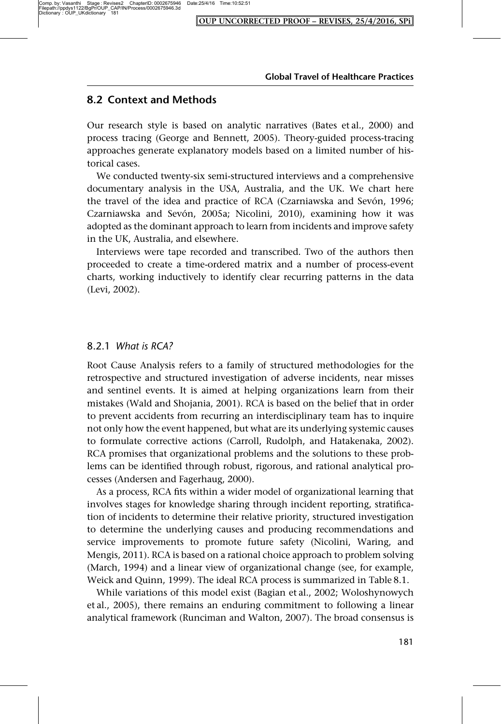Comp. by: Vasanthi Stage : Revises2 ChapterID: 0002675946 Date:25/4/16 Time:10:52:51<br>Filepath://ppdys1122/BgPr/OUP\_CAP/IN/Process/0002675946.3d Dictionary : OUP\_UKdictionary 181

#### **OUP UNCORRECTED PROOF – REVISES, 25/4/2016, SPi**

# **Global Travel of Healthcare Practices**

# **8.2 Context and Methods**

Our research style is based on analytic narratives (Bates et al., 2000) and process tracing (George and Bennett, 2005). Theory-guided process-tracing approaches generate explanatory models based on a limited number of historical cases.

We conducted twenty-six semi-structured interviews and a comprehensive documentary analysis in the USA, Australia, and the UK. We chart here the travel of the idea and practice of RCA (Czarniawska and Sevón, 1996; Czarniawska and Sevón, 2005a; Nicolini, 2010), examining how it was adopted as the dominant approach to learn from incidents and improve safety in the UK, Australia, and elsewhere.

Interviews were tape recorded and transcribed. Two of the authors then proceeded to create a time-ordered matrix and a number of process-event charts, working inductively to identify clear recurring patterns in the data (Levi, 2002).

# 8.2.1 *What is RCA?*

Root Cause Analysis refers to a family of structured methodologies for the retrospective and structured investigation of adverse incidents, near misses and sentinel events. It is aimed at helping organizations learn from their mistakes (Wald and Shojania, 2001). RCA is based on the belief that in order to prevent accidents from recurring an interdisciplinary team has to inquire not only how the event happened, but what are its underlying systemic causes to formulate corrective actions (Carroll, Rudolph, and Hatakenaka, 2002). RCA promises that organizational problems and the solutions to these problems can be identified through robust, rigorous, and rational analytical processes (Andersen and Fagerhaug, 2000).

As a process, RCA fits within a wider model of organizational learning that involves stages for knowledge sharing through incident reporting, stratification of incidents to determine their relative priority, structured investigation to determine the underlying causes and producing recommendations and service improvements to promote future safety (Nicolini, Waring, and Mengis, 2011). RCA is based on a rational choice approach to problem solving (March, 1994) and a linear view of organizational change (see, for example, Weick and Quinn, 1999). The ideal RCA process is summarized in Table 8.1.

While variations of this model exist (Bagian et al., 2002; Woloshynowych et al., 2005), there remains an enduring commitment to following a linear analytical framework (Runciman and Walton, 2007). The broad consensus is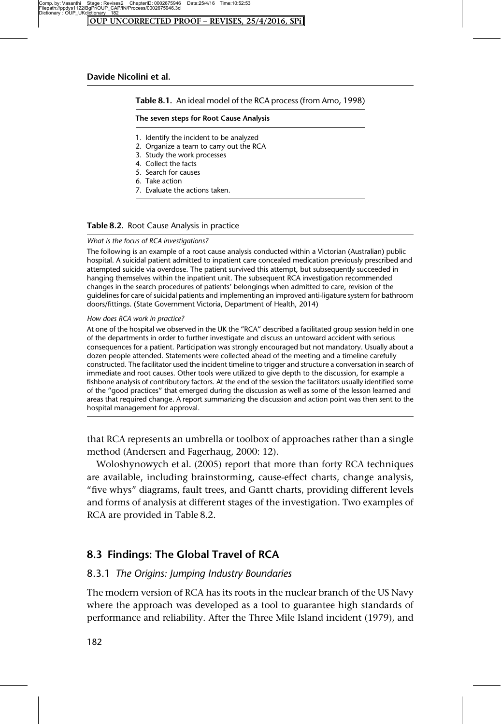#### **Table 8.1.** An ideal model of the RCA process (from Amo, 1998)

#### **The seven steps for Root Cause Analysis**

1. Identify the incident to be analyzed

- 2. Organize a team to carry out the RCA
- 3. Study the work processes
- 4. Collect the facts
- 5. Search for causes
- 6. Take action
- 7. Evaluate the actions taken.

#### **Table 8.2.** Root Cause Analysis in practice

#### *What is the focus of RCA investigations?*

The following is an example of a root cause analysis conducted within a Victorian (Australian) public hospital. A suicidal patient admitted to inpatient care concealed medication previously prescribed and attempted suicide via overdose. The patient survived this attempt, but subsequently succeeded in hanging themselves within the inpatient unit. The subsequent RCA investigation recommended changes in the search procedures of patients' belongings when admitted to care, revision of the guidelines for care of suicidal patients and implementing an improved anti-ligature system for bathroom doors/fittings. (State Government Victoria, Department of Health, 2014)

#### *How does RCA work in practice?*

At one of the hospital we observed in the UK the "RCA" described a facilitated group session held in one of the departments in order to further investigate and discuss an untoward accident with serious consequences for a patient. Participation was strongly encouraged but not mandatory. Usually about a dozen people attended. Statements were collected ahead of the meeting and a timeline carefully constructed. The facilitator used the incident timeline to trigger and structure a conversation in search of immediate and root causes. Other tools were utilized to give depth to the discussion, for example a fishbone analysis of contributory factors. At the end of the session the facilitators usually identified some of the "good practices" that emerged during the discussion as well as some of the lesson learned and areas that required change. A report summarizing the discussion and action point was then sent to the hospital management for approval.

that RCA represents an umbrella or toolbox of approaches rather than a single method (Andersen and Fagerhaug, 2000: 12).

Woloshynowych et al. (2005) report that more than forty RCA techniques are available, including brainstorming, cause-effect charts, change analysis, "five whys" diagrams, fault trees, and Gantt charts, providing different levels and forms of analysis at different stages of the investigation. Two examples of RCA are provided in Table 8.2.

# **8.3 Findings: The Global Travel of RCA**

#### 8.3.1 *The Origins: Jumping Industry Boundaries*

The modern version of RCA has its roots in the nuclear branch of the US Navy where the approach was developed as a tool to guarantee high standards of performance and reliability. After the Three Mile Island incident (1979), and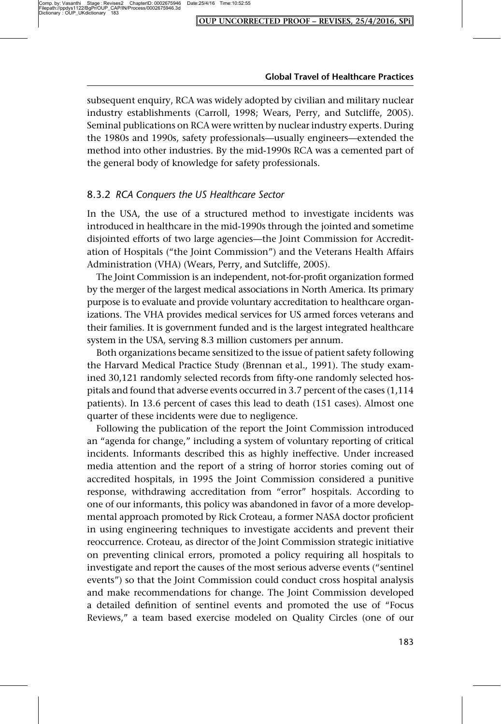# **Global Travel of Healthcare Practices**

subsequent enquiry, RCA was widely adopted by civilian and military nuclear industry establishments (Carroll, 1998; Wears, Perry, and Sutcliffe, 2005). Seminal publications on RCA were written by nuclear industry experts. During the 1980s and 1990s, safety professionals—usually engineers—extended the method into other industries. By the mid-1990s RCA was a cemented part of the general body of knowledge for safety professionals.

# 8.3.2 *RCA Conquers the US Healthcare Sector*

In the USA, the use of a structured method to investigate incidents was introduced in healthcare in the mid-1990s through the jointed and sometime disjointed efforts of two large agencies—the Joint Commission for Accreditation of Hospitals ("the Joint Commission") and the Veterans Health Affairs Administration (VHA) (Wears, Perry, and Sutcliffe, 2005).

The Joint Commission is an independent, not-for-profit organization formed by the merger of the largest medical associations in North America. Its primary purpose is to evaluate and provide voluntary accreditation to healthcare organizations. The VHA provides medical services for US armed forces veterans and their families. It is government funded and is the largest integrated healthcare system in the USA, serving 8.3 million customers per annum.

Both organizations became sensitized to the issue of patient safety following the Harvard Medical Practice Study (Brennan et al., 1991). The study examined 30,121 randomly selected records from fifty-one randomly selected hospitals and found that adverse events occurred in 3.7 percent of the cases (1,114 patients). In 13.6 percent of cases this lead to death (151 cases). Almost one quarter of these incidents were due to negligence.

Following the publication of the report the Joint Commission introduced an "agenda for change," including a system of voluntary reporting of critical incidents. Informants described this as highly ineffective. Under increased media attention and the report of a string of horror stories coming out of accredited hospitals, in 1995 the Joint Commission considered a punitive response, withdrawing accreditation from "error" hospitals. According to one of our informants, this policy was abandoned in favor of a more developmental approach promoted by Rick Croteau, a former NASA doctor proficient in using engineering techniques to investigate accidents and prevent their reoccurrence. Croteau, as director of the Joint Commission strategic initiative on preventing clinical errors, promoted a policy requiring all hospitals to investigate and report the causes of the most serious adverse events ("sentinel events") so that the Joint Commission could conduct cross hospital analysis and make recommendations for change. The Joint Commission developed a detailed definition of sentinel events and promoted the use of "Focus Reviews," a team based exercise modeled on Quality Circles (one of our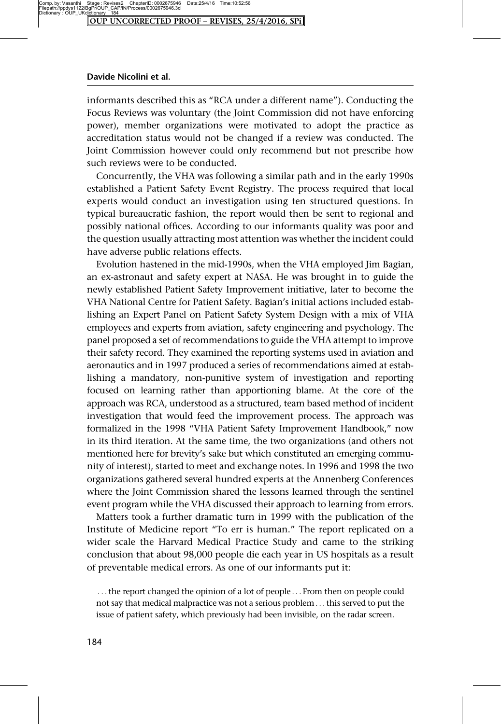informants described this as "RCA under a different name"). Conducting the Focus Reviews was voluntary (the Joint Commission did not have enforcing power), member organizations were motivated to adopt the practice as accreditation status would not be changed if a review was conducted. The Joint Commission however could only recommend but not prescribe how such reviews were to be conducted.

Concurrently, the VHA was following a similar path and in the early 1990s established a Patient Safety Event Registry. The process required that local experts would conduct an investigation using ten structured questions. In typical bureaucratic fashion, the report would then be sent to regional and possibly national offices. According to our informants quality was poor and the question usually attracting most attention was whether the incident could have adverse public relations effects.

Evolution hastened in the mid-1990s, when the VHA employed Jim Bagian, an ex-astronaut and safety expert at NASA. He was brought in to guide the newly established Patient Safety Improvement initiative, later to become the VHA National Centre for Patient Safety. Bagian's initial actions included establishing an Expert Panel on Patient Safety System Design with a mix of VHA employees and experts from aviation, safety engineering and psychology. The panel proposed a set of recommendations to guide the VHA attempt to improve their safety record. They examined the reporting systems used in aviation and aeronautics and in 1997 produced a series of recommendations aimed at establishing a mandatory, non-punitive system of investigation and reporting focused on learning rather than apportioning blame. At the core of the approach was RCA, understood as a structured, team based method of incident investigation that would feed the improvement process. The approach was formalized in the 1998 "VHA Patient Safety Improvement Handbook," now in its third iteration. At the same time, the two organizations (and others not mentioned here for brevity's sake but which constituted an emerging community of interest), started to meet and exchange notes. In 1996 and 1998 the two organizations gathered several hundred experts at the Annenberg Conferences where the Joint Commission shared the lessons learned through the sentinel event program while the VHA discussed their approach to learning from errors.

Matters took a further dramatic turn in 1999 with the publication of the Institute of Medicine report "To err is human." The report replicated on a wider scale the Harvard Medical Practice Study and came to the striking conclusion that about 98,000 people die each year in US hospitals as a result of preventable medical errors. As one of our informants put it:

...the report changed the opinion of a lot of people ... From then on people could not say that medical malpractice was not a serious problem...this served to put the issue of patient safety, which previously had been invisible, on the radar screen.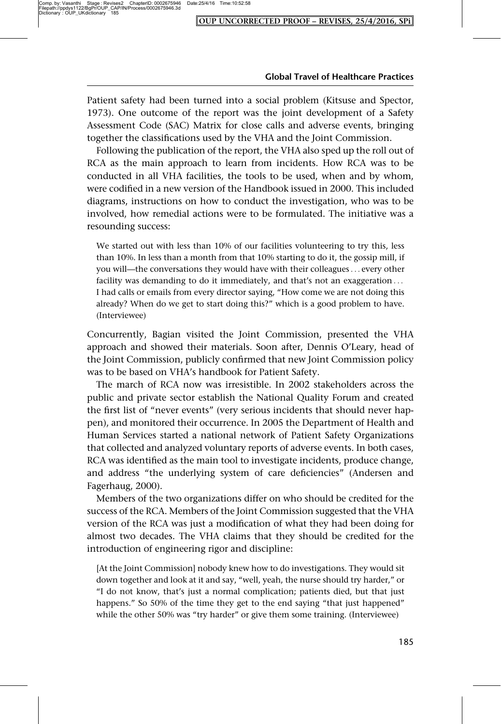## **Global Travel of Healthcare Practices**

Patient safety had been turned into a social problem (Kitsuse and Spector, 1973). One outcome of the report was the joint development of a Safety Assessment Code (SAC) Matrix for close calls and adverse events, bringing together the classifications used by the VHA and the Joint Commission.

Following the publication of the report, the VHA also sped up the roll out of RCA as the main approach to learn from incidents. How RCA was to be conducted in all VHA facilities, the tools to be used, when and by whom, were codified in a new version of the Handbook issued in 2000. This included diagrams, instructions on how to conduct the investigation, who was to be involved, how remedial actions were to be formulated. The initiative was a resounding success:

We started out with less than 10% of our facilities volunteering to try this, less than 10%. In less than a month from that 10% starting to do it, the gossip mill, if you will—the conversations they would have with their colleagues ... every other facility was demanding to do it immediately, and that's not an exaggeration ... I had calls or emails from every director saying, "How come we are not doing this already? When do we get to start doing this?" which is a good problem to have. (Interviewee)

Concurrently, Bagian visited the Joint Commission, presented the VHA approach and showed their materials. Soon after, Dennis O'Leary, head of the Joint Commission, publicly confirmed that new Joint Commission policy was to be based on VHA's handbook for Patient Safety.

The march of RCA now was irresistible. In 2002 stakeholders across the public and private sector establish the National Quality Forum and created the first list of "never events" (very serious incidents that should never happen), and monitored their occurrence. In 2005 the Department of Health and Human Services started a national network of Patient Safety Organizations that collected and analyzed voluntary reports of adverse events. In both cases, RCA was identified as the main tool to investigate incidents, produce change, and address "the underlying system of care deficiencies" (Andersen and Fagerhaug, 2000).

Members of the two organizations differ on who should be credited for the success of the RCA. Members of the Joint Commission suggested that the VHA version of the RCA was just a modification of what they had been doing for almost two decades. The VHA claims that they should be credited for the introduction of engineering rigor and discipline:

[At the Joint Commission] nobody knew how to do investigations. They would sit down together and look at it and say, "well, yeah, the nurse should try harder," or "I do not know, that's just a normal complication; patients died, but that just happens." So 50% of the time they get to the end saying "that just happened" while the other 50% was "try harder" or give them some training. (Interviewee)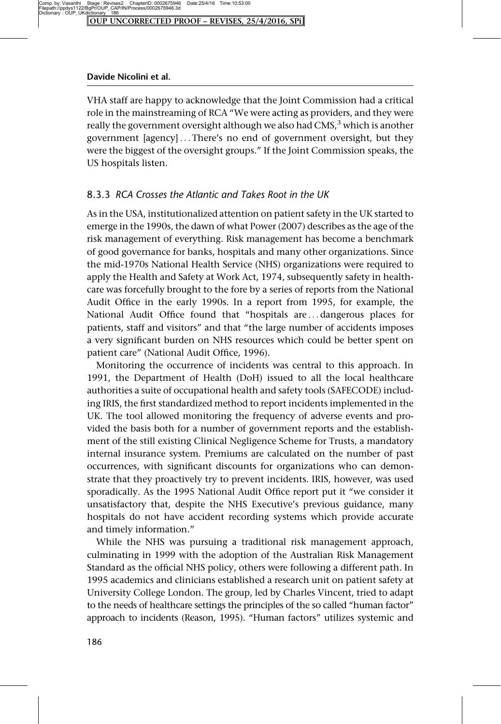VHA staff are happy to acknowledge that the Joint Commission had a critical role in the mainstreaming of RCA "We were acting as providers, and they were really the government oversight although we also had  $CMS<sup>3</sup>$  which is another government [agency] ... There's no end of government oversight, but they were the biggest of the oversight groups." If the Joint Commission speaks, the US hospitals listen.

# 8.3.3 *RCA Crosses the Atlantic and Takes Root in the UK*

As in the USA, institutionalized attention on patient safety in the UK started to emerge in the 1990s, the dawn of what Power (2007) describes as the age of the risk management of everything. Risk management has become a benchmark of good governance for banks, hospitals and many other organizations. Since the mid-1970s National Health Service (NHS) organizations were required to apply the Health and Safety at Work Act, 1974, subsequently safety in healthcare was forcefully brought to the fore by a series of reports from the National Audit Office in the early 1990s. In a report from 1995, for example, the National Audit Office found that "hospitals are ... dangerous places for patients, staff and visitors" and that "the large number of accidents imposes a very significant burden on NHS resources which could be better spent on patient care" (National Audit Office, 1996).

Monitoring the occurrence of incidents was central to this approach. In 1991, the Department of Health (DoH) issued to all the local healthcare authorities a suite of occupational health and safety tools (SAFECODE) including IRIS, the first standardized method to report incidents implemented in the UK. The tool allowed monitoring the frequency of adverse events and provided the basis both for a number of government reports and the establishment of the still existing Clinical Negligence Scheme for Trusts, a mandatory internal insurance system. Premiums are calculated on the number of past occurrences, with significant discounts for organizations who can demonstrate that they proactively try to prevent incidents. IRIS, however, was used sporadically. As the 1995 National Audit Office report put it "we consider it unsatisfactory that, despite the NHS Executive's previous guidance, many hospitals do not have accident recording systems which provide accurate and timely information."

While the NHS was pursuing a traditional risk management approach, culminating in 1999 with the adoption of the Australian Risk Management Standard as the official NHS policy, others were following a different path. In 1995 academics and clinicians established a research unit on patient safety at University College London. The group, led by Charles Vincent, tried to adapt to the needs of healthcare settings the principles of the so called "human factor" approach to incidents (Reason, 1995). "Human factors" utilizes systemic and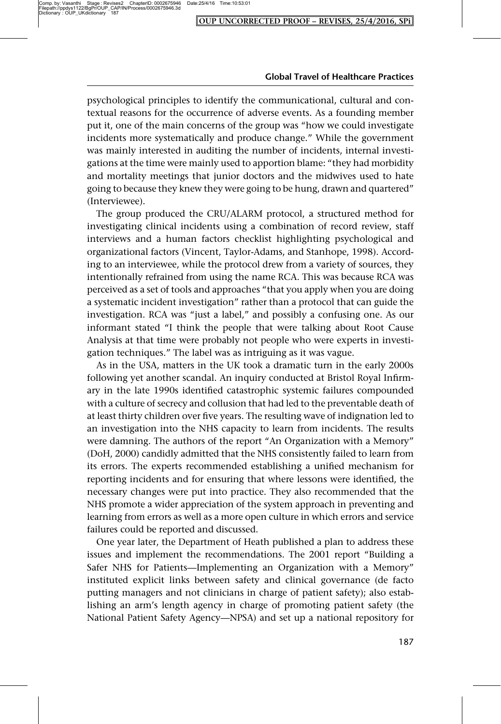#### **Global Travel of Healthcare Practices**

psychological principles to identify the communicational, cultural and contextual reasons for the occurrence of adverse events. As a founding member put it, one of the main concerns of the group was "how we could investigate incidents more systematically and produce change." While the government was mainly interested in auditing the number of incidents, internal investigations at the time were mainly used to apportion blame: "they had morbidity and mortality meetings that junior doctors and the midwives used to hate going to because they knew they were going to be hung, drawn and quartered" (Interviewee).

The group produced the CRU/ALARM protocol, a structured method for investigating clinical incidents using a combination of record review, staff interviews and a human factors checklist highlighting psychological and organizational factors (Vincent, Taylor-Adams, and Stanhope, 1998). According to an interviewee, while the protocol drew from a variety of sources, they intentionally refrained from using the name RCA. This was because RCA was perceived as a set of tools and approaches "that you apply when you are doing a systematic incident investigation" rather than a protocol that can guide the investigation. RCA was "just a label," and possibly a confusing one. As our informant stated "I think the people that were talking about Root Cause Analysis at that time were probably not people who were experts in investigation techniques." The label was as intriguing as it was vague.

As in the USA, matters in the UK took a dramatic turn in the early 2000s following yet another scandal. An inquiry conducted at Bristol Royal Infirmary in the late 1990s identified catastrophic systemic failures compounded with a culture of secrecy and collusion that had led to the preventable death of at least thirty children over five years. The resulting wave of indignation led to an investigation into the NHS capacity to learn from incidents. The results were damning. The authors of the report "An Organization with a Memory" (DoH, 2000) candidly admitted that the NHS consistently failed to learn from its errors. The experts recommended establishing a unified mechanism for reporting incidents and for ensuring that where lessons were identified, the necessary changes were put into practice. They also recommended that the NHS promote a wider appreciation of the system approach in preventing and learning from errors as well as a more open culture in which errors and service failures could be reported and discussed.

One year later, the Department of Heath published a plan to address these issues and implement the recommendations. The 2001 report "Building a Safer NHS for Patients—Implementing an Organization with a Memory" instituted explicit links between safety and clinical governance (de facto putting managers and not clinicians in charge of patient safety); also establishing an arm's length agency in charge of promoting patient safety (the National Patient Safety Agency—NPSA) and set up a national repository for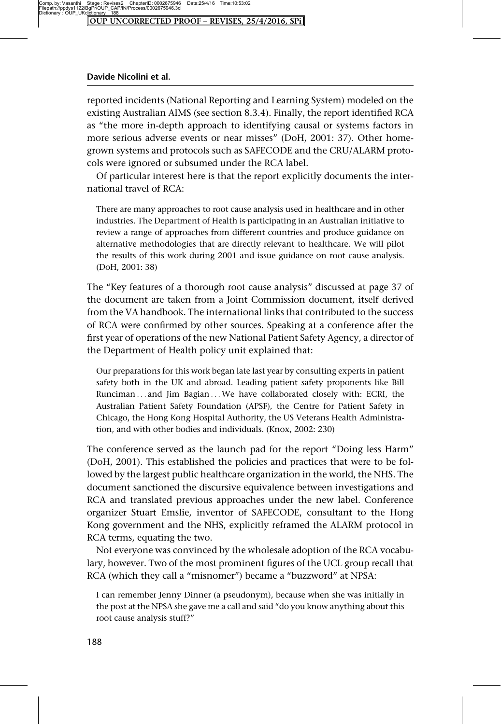reported incidents (National Reporting and Learning System) modeled on the existing Australian AIMS (see section 8.3.4). Finally, the report identified RCA as "the more in-depth approach to identifying causal or systems factors in more serious adverse events or near misses" (DoH, 2001: 37). Other homegrown systems and protocols such as SAFECODE and the CRU/ALARM protocols were ignored or subsumed under the RCA label.

Of particular interest here is that the report explicitly documents the international travel of RCA:

There are many approaches to root cause analysis used in healthcare and in other industries. The Department of Health is participating in an Australian initiative to review a range of approaches from different countries and produce guidance on alternative methodologies that are directly relevant to healthcare. We will pilot the results of this work during 2001 and issue guidance on root cause analysis. (DoH, 2001: 38)

The "Key features of a thorough root cause analysis" discussed at page 37 of the document are taken from a Joint Commission document, itself derived from the VA handbook. The international links that contributed to the success of RCA were confirmed by other sources. Speaking at a conference after the first year of operations of the new National Patient Safety Agency, a director of the Department of Health policy unit explained that:

Our preparations for this work began late last year by consulting experts in patient safety both in the UK and abroad. Leading patient safety proponents like Bill Runciman ... and Jim Bagian...We have collaborated closely with: ECRI, the Australian Patient Safety Foundation (APSF), the Centre for Patient Safety in Chicago, the Hong Kong Hospital Authority, the US Veterans Health Administration, and with other bodies and individuals. (Knox, 2002: 230)

The conference served as the launch pad for the report "Doing less Harm" (DoH, 2001). This established the policies and practices that were to be followed by the largest public healthcare organization in the world, the NHS. The document sanctioned the discursive equivalence between investigations and RCA and translated previous approaches under the new label. Conference organizer Stuart Emslie, inventor of SAFECODE, consultant to the Hong Kong government and the NHS, explicitly reframed the ALARM protocol in RCA terms, equating the two.

Not everyone was convinced by the wholesale adoption of the RCA vocabulary, however. Two of the most prominent figures of the UCL group recall that RCA (which they call a "misnomer") became a "buzzword" at NPSA:

I can remember Jenny Dinner (a pseudonym), because when she was initially in the post at the NPSA she gave me a call and said "do you know anything about this root cause analysis stuff?"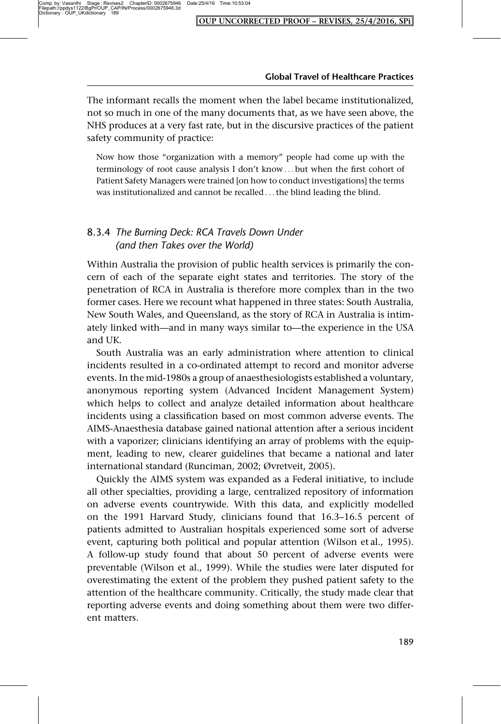# **Global Travel of Healthcare Practices**

The informant recalls the moment when the label became institutionalized, not so much in one of the many documents that, as we have seen above, the NHS produces at a very fast rate, but in the discursive practices of the patient safety community of practice:

Now how those "organization with a memory" people had come up with the terminology of root cause analysis I don't know ... but when the first cohort of Patient Safety Managers were trained [on how to conduct investigations] the terms was institutionalized and cannot be recalled ...the blind leading the blind.

# 8.3.4 *The Burning Deck: RCA Travels Down Under (and then Takes over the World)*

Within Australia the provision of public health services is primarily the concern of each of the separate eight states and territories. The story of the penetration of RCA in Australia is therefore more complex than in the two former cases. Here we recount what happened in three states: South Australia, New South Wales, and Queensland, as the story of RCA in Australia is intimately linked with—and in many ways similar to—the experience in the USA and UK.

South Australia was an early administration where attention to clinical incidents resulted in a co-ordinated attempt to record and monitor adverse events. In the mid-1980s a group of anaesthesiologists established a voluntary, anonymous reporting system (Advanced Incident Management System) which helps to collect and analyze detailed information about healthcare incidents using a classification based on most common adverse events. The AIMS-Anaesthesia database gained national attention after a serious incident with a vaporizer; clinicians identifying an array of problems with the equipment, leading to new, clearer guidelines that became a national and later international standard (Runciman, 2002; Øvretveit, 2005).

Quickly the AIMS system was expanded as a Federal initiative, to include all other specialties, providing a large, centralized repository of information on adverse events countrywide. With this data, and explicitly modelled on the 1991 Harvard Study, clinicians found that 16.3–16.5 percent of patients admitted to Australian hospitals experienced some sort of adverse event, capturing both political and popular attention (Wilson et al., 1995). A follow-up study found that about 50 percent of adverse events were preventable (Wilson et al., 1999). While the studies were later disputed for overestimating the extent of the problem they pushed patient safety to the attention of the healthcare community. Critically, the study made clear that reporting adverse events and doing something about them were two different matters.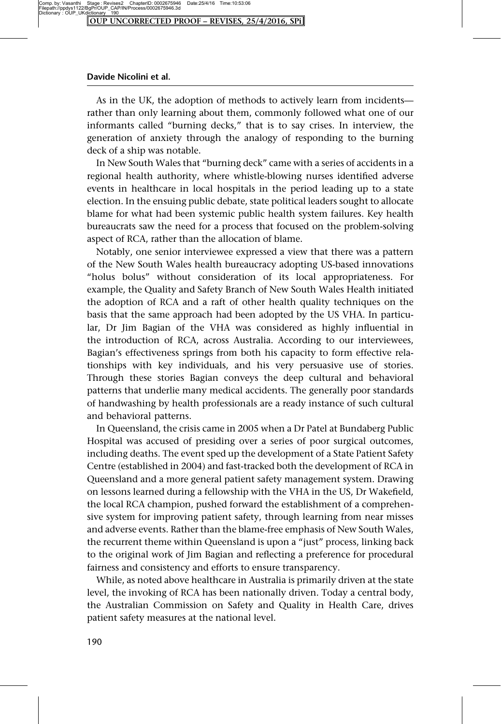#### **Davide Nicolini et al.**

As in the UK, the adoption of methods to actively learn from incidents rather than only learning about them, commonly followed what one of our informants called "burning decks," that is to say crises. In interview, the generation of anxiety through the analogy of responding to the burning deck of a ship was notable.

In New South Wales that "burning deck" came with a series of accidents in a regional health authority, where whistle-blowing nurses identified adverse events in healthcare in local hospitals in the period leading up to a state election. In the ensuing public debate, state political leaders sought to allocate blame for what had been systemic public health system failures. Key health bureaucrats saw the need for a process that focused on the problem-solving aspect of RCA, rather than the allocation of blame.

Notably, one senior interviewee expressed a view that there was a pattern of the New South Wales health bureaucracy adopting US-based innovations "holus bolus" without consideration of its local appropriateness. For example, the Quality and Safety Branch of New South Wales Health initiated the adoption of RCA and a raft of other health quality techniques on the basis that the same approach had been adopted by the US VHA. In particular, Dr Jim Bagian of the VHA was considered as highly influential in the introduction of RCA, across Australia. According to our interviewees, Bagian's effectiveness springs from both his capacity to form effective relationships with key individuals, and his very persuasive use of stories. Through these stories Bagian conveys the deep cultural and behavioral patterns that underlie many medical accidents. The generally poor standards of handwashing by health professionals are a ready instance of such cultural and behavioral patterns.

In Queensland, the crisis came in 2005 when a Dr Patel at Bundaberg Public Hospital was accused of presiding over a series of poor surgical outcomes, including deaths. The event sped up the development of a State Patient Safety Centre (established in 2004) and fast-tracked both the development of RCA in Queensland and a more general patient safety management system. Drawing on lessons learned during a fellowship with the VHA in the US, Dr Wakefield, the local RCA champion, pushed forward the establishment of a comprehensive system for improving patient safety, through learning from near misses and adverse events. Rather than the blame-free emphasis of New South Wales, the recurrent theme within Queensland is upon a "just" process, linking back to the original work of Jim Bagian and reflecting a preference for procedural fairness and consistency and efforts to ensure transparency.

While, as noted above healthcare in Australia is primarily driven at the state level, the invoking of RCA has been nationally driven. Today a central body, the Australian Commission on Safety and Quality in Health Care, drives patient safety measures at the national level.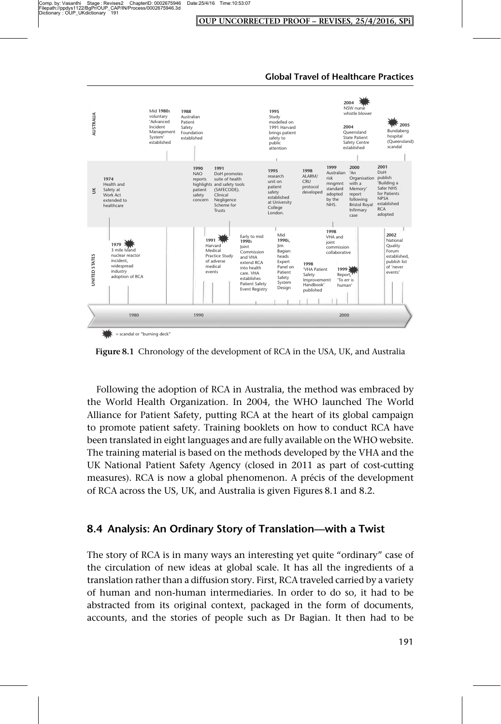

#### **Global Travel of Healthcare Practices**

**Figure 8.1** Chronology of the development of RCA in the USA, UK, and Australia

Following the adoption of RCA in Australia, the method was embraced by the World Health Organization. In 2004, the WHO launched The World Alliance for Patient Safety, putting RCA at the heart of its global campaign to promote patient safety. Training booklets on how to conduct RCA have been translated in eight languages and are fully available on the WHO website. The training material is based on the methods developed by the VHA and the UK National Patient Safety Agency (closed in 2011 as part of cost-cutting measures). RCA is now a global phenomenon. A précis of the development of RCA across the US, UK, and Australia is given Figures 8.1 and 8.2.

# **8.4 Analysis: An Ordinary Story of Translation—with a Twist**

The story of RCA is in many ways an interesting yet quite "ordinary" case of the circulation of new ideas at global scale. It has all the ingredients of a translation rather than a diffusion story. First, RCA traveled carried by a variety of human and non-human intermediaries. In order to do so, it had to be abstracted from its original context, packaged in the form of documents, accounts, and the stories of people such as Dr Bagian. It then had to be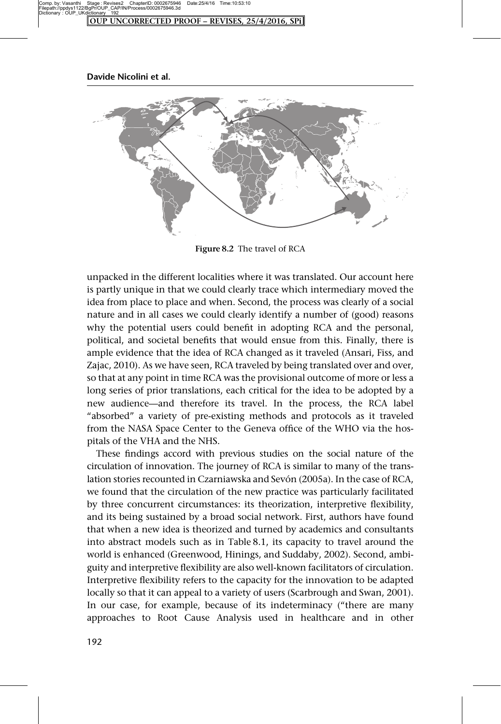**Davide Nicolini et al.**



**Figure 8.2** The travel of RCA

unpacked in the different localities where it was translated. Our account here is partly unique in that we could clearly trace which intermediary moved the idea from place to place and when. Second, the process was clearly of a social nature and in all cases we could clearly identify a number of (good) reasons why the potential users could benefit in adopting RCA and the personal, political, and societal benefits that would ensue from this. Finally, there is ample evidence that the idea of RCA changed as it traveled (Ansari, Fiss, and Zajac, 2010). As we have seen, RCA traveled by being translated over and over, so that at any point in time RCA was the provisional outcome of more or less a long series of prior translations, each critical for the idea to be adopted by a new audience—and therefore its travel. In the process, the RCA label "absorbed" a variety of pre-existing methods and protocols as it traveled from the NASA Space Center to the Geneva office of the WHO via the hospitals of the VHA and the NHS.

These findings accord with previous studies on the social nature of the circulation of innovation. The journey of RCA is similar to many of the translation stories recounted in Czarniawska and Sevón (2005a). In the case of RCA, we found that the circulation of the new practice was particularly facilitated by three concurrent circumstances: its theorization, interpretive flexibility, and its being sustained by a broad social network. First, authors have found that when a new idea is theorized and turned by academics and consultants into abstract models such as in Table 8.1, its capacity to travel around the world is enhanced (Greenwood, Hinings, and Suddaby, 2002). Second, ambiguity and interpretive flexibility are also well-known facilitators of circulation. Interpretive flexibility refers to the capacity for the innovation to be adapted locally so that it can appeal to a variety of users (Scarbrough and Swan, 2001). In our case, for example, because of its indeterminacy ("there are many approaches to Root Cause Analysis used in healthcare and in other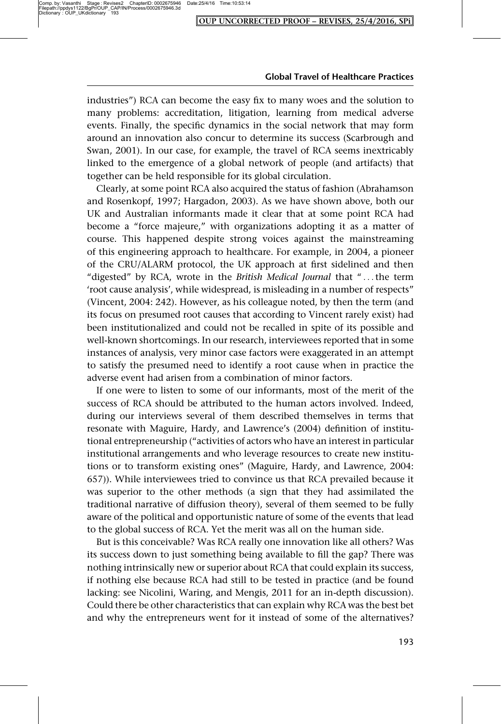## **Global Travel of Healthcare Practices**

industries") RCA can become the easy fix to many woes and the solution to many problems: accreditation, litigation, learning from medical adverse events. Finally, the specific dynamics in the social network that may form around an innovation also concur to determine its success (Scarbrough and Swan, 2001). In our case, for example, the travel of RCA seems inextricably linked to the emergence of a global network of people (and artifacts) that together can be held responsible for its global circulation.

Clearly, at some point RCA also acquired the status of fashion (Abrahamson and Rosenkopf, 1997; Hargadon, 2003). As we have shown above, both our UK and Australian informants made it clear that at some point RCA had become a "force majeure," with organizations adopting it as a matter of course. This happened despite strong voices against the mainstreaming of this engineering approach to healthcare. For example, in 2004, a pioneer of the CRU/ALARM protocol, the UK approach at first sidelined and then "digested" by RCA, wrote in the *British Medical Journal* that " ...the term 'root cause analysis', while widespread, is misleading in a number of respects" (Vincent, 2004: 242). However, as his colleague noted, by then the term (and its focus on presumed root causes that according to Vincent rarely exist) had been institutionalized and could not be recalled in spite of its possible and well-known shortcomings. In our research, interviewees reported that in some instances of analysis, very minor case factors were exaggerated in an attempt to satisfy the presumed need to identify a root cause when in practice the adverse event had arisen from a combination of minor factors.

If one were to listen to some of our informants, most of the merit of the success of RCA should be attributed to the human actors involved. Indeed, during our interviews several of them described themselves in terms that resonate with Maguire, Hardy, and Lawrence's (2004) definition of institutional entrepreneurship ("activities of actors who have an interest in particular institutional arrangements and who leverage resources to create new institutions or to transform existing ones" (Maguire, Hardy, and Lawrence, 2004: 657)). While interviewees tried to convince us that RCA prevailed because it was superior to the other methods (a sign that they had assimilated the traditional narrative of diffusion theory), several of them seemed to be fully aware of the political and opportunistic nature of some of the events that lead to the global success of RCA. Yet the merit was all on the human side.

But is this conceivable? Was RCA really one innovation like all others? Was its success down to just something being available to fill the gap? There was nothing intrinsically new or superior about RCA that could explain its success, if nothing else because RCA had still to be tested in practice (and be found lacking: see Nicolini, Waring, and Mengis, 2011 for an in-depth discussion). Could there be other characteristics that can explain why RCA was the best bet and why the entrepreneurs went for it instead of some of the alternatives?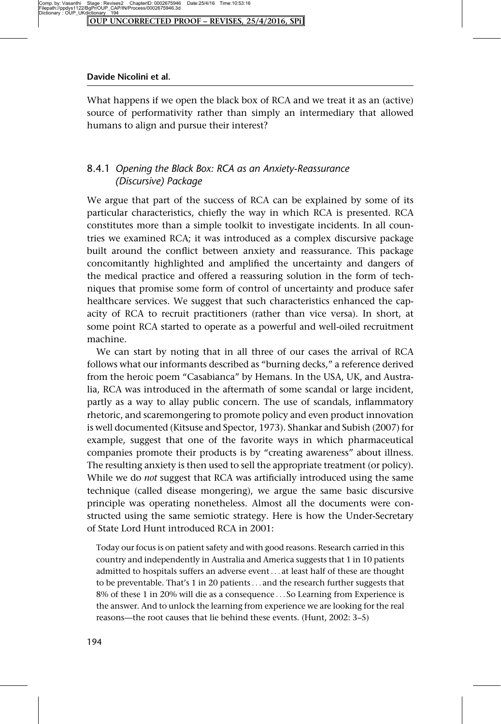What happens if we open the black box of RCA and we treat it as an (active) source of performativity rather than simply an intermediary that allowed humans to align and pursue their interest?

# 8.4.1 *Opening the Black Box: RCA as an Anxiety-Reassurance (Discursive) Package*

We argue that part of the success of RCA can be explained by some of its particular characteristics, chiefly the way in which RCA is presented. RCA constitutes more than a simple toolkit to investigate incidents. In all countries we examined RCA; it was introduced as a complex discursive package built around the conflict between anxiety and reassurance. This package concomitantly highlighted and amplified the uncertainty and dangers of the medical practice and offered a reassuring solution in the form of techniques that promise some form of control of uncertainty and produce safer healthcare services. We suggest that such characteristics enhanced the capacity of RCA to recruit practitioners (rather than vice versa). In short, at some point RCA started to operate as a powerful and well-oiled recruitment machine.

We can start by noting that in all three of our cases the arrival of RCA follows what our informants described as "burning decks," a reference derived from the heroic poem "Casabianca" by Hemans. In the USA, UK, and Australia, RCA was introduced in the aftermath of some scandal or large incident, partly as a way to allay public concern. The use of scandals, inflammatory rhetoric, and scaremongering to promote policy and even product innovation is well documented (Kitsuse and Spector, 1973). Shankar and Subish (2007) for example, suggest that one of the favorite ways in which pharmaceutical companies promote their products is by "creating awareness" about illness. The resulting anxiety is then used to sell the appropriate treatment (or policy). While we do *not* suggest that RCA was artificially introduced using the same technique (called disease mongering), we argue the same basic discursive principle was operating nonetheless. Almost all the documents were constructed using the same semiotic strategy. Here is how the Under-Secretary of State Lord Hunt introduced RCA in 2001:

Today our focus is on patient safety and with good reasons. Research carried in this country and independently in Australia and America suggests that 1 in 10 patients admitted to hospitals suffers an adverse event... at least half of these are thought to be preventable. That's 1 in 20 patients ... and the research further suggests that 8% of these 1 in 20% will die as a consequence ... So Learning from Experience is the answer. And to unlock the learning from experience we are looking for the real reasons—the root causes that lie behind these events. (Hunt, 2002: 3–5)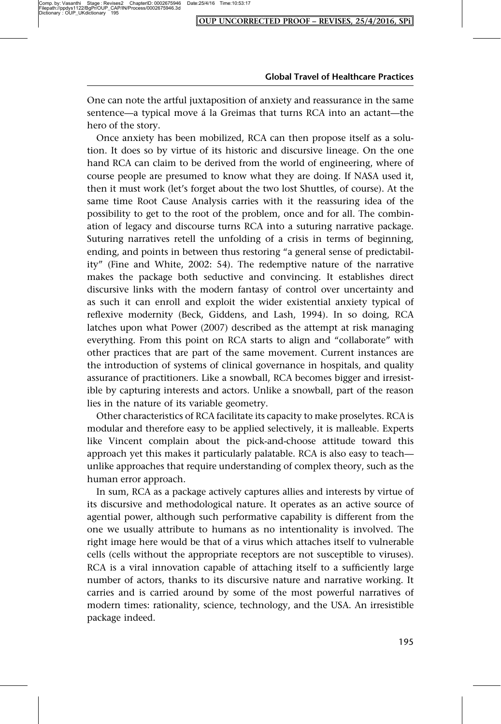## **Global Travel of Healthcare Practices**

One can note the artful juxtaposition of anxiety and reassurance in the same sentence—a typical move á la Greimas that turns RCA into an actant—the hero of the story.

Once anxiety has been mobilized, RCA can then propose itself as a solution. It does so by virtue of its historic and discursive lineage. On the one hand RCA can claim to be derived from the world of engineering, where of course people are presumed to know what they are doing. If NASA used it, then it must work (let's forget about the two lost Shuttles, of course). At the same time Root Cause Analysis carries with it the reassuring idea of the possibility to get to the root of the problem, once and for all. The combination of legacy and discourse turns RCA into a suturing narrative package. Suturing narratives retell the unfolding of a crisis in terms of beginning, ending, and points in between thus restoring "a general sense of predictability" (Fine and White, 2002: 54). The redemptive nature of the narrative makes the package both seductive and convincing. It establishes direct discursive links with the modern fantasy of control over uncertainty and as such it can enroll and exploit the wider existential anxiety typical of reflexive modernity (Beck, Giddens, and Lash, 1994). In so doing, RCA latches upon what Power (2007) described as the attempt at risk managing everything. From this point on RCA starts to align and "collaborate" with other practices that are part of the same movement. Current instances are the introduction of systems of clinical governance in hospitals, and quality assurance of practitioners. Like a snowball, RCA becomes bigger and irresistible by capturing interests and actors. Unlike a snowball, part of the reason lies in the nature of its variable geometry.

Other characteristics of RCA facilitate its capacity to make proselytes. RCA is modular and therefore easy to be applied selectively, it is malleable. Experts like Vincent complain about the pick-and-choose attitude toward this approach yet this makes it particularly palatable. RCA is also easy to teach unlike approaches that require understanding of complex theory, such as the human error approach.

In sum, RCA as a package actively captures allies and interests by virtue of its discursive and methodological nature. It operates as an active source of agential power, although such performative capability is different from the one we usually attribute to humans as no intentionality is involved. The right image here would be that of a virus which attaches itself to vulnerable cells (cells without the appropriate receptors are not susceptible to viruses). RCA is a viral innovation capable of attaching itself to a sufficiently large number of actors, thanks to its discursive nature and narrative working. It carries and is carried around by some of the most powerful narratives of modern times: rationality, science, technology, and the USA. An irresistible package indeed.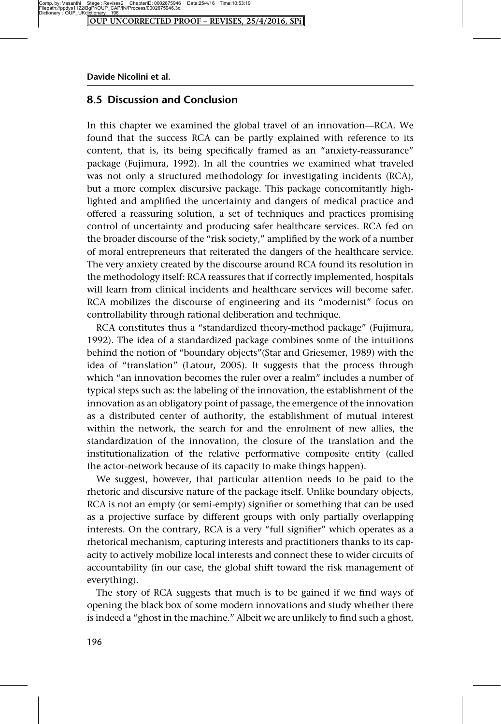# **8.5 Discussion and Conclusion**

In this chapter we examined the global travel of an innovation—RCA. We found that the success RCA can be partly explained with reference to its content, that is, its being specifically framed as an "anxiety-reassurance" package (Fujimura, 1992). In all the countries we examined what traveled was not only a structured methodology for investigating incidents (RCA), but a more complex discursive package. This package concomitantly highlighted and amplified the uncertainty and dangers of medical practice and offered a reassuring solution, a set of techniques and practices promising control of uncertainty and producing safer healthcare services. RCA fed on the broader discourse of the "risk society," amplified by the work of a number of moral entrepreneurs that reiterated the dangers of the healthcare service. The very anxiety created by the discourse around RCA found its resolution in the methodology itself: RCA reassures that if correctly implemented, hospitals will learn from clinical incidents and healthcare services will become safer. RCA mobilizes the discourse of engineering and its "modernist" focus on controllability through rational deliberation and technique.

RCA constitutes thus a "standardized theory-method package" (Fujimura, 1992). The idea of a standardized package combines some of the intuitions behind the notion of "boundary objects"(Star and Griesemer, 1989) with the idea of "translation" (Latour, 2005). It suggests that the process through which "an innovation becomes the ruler over a realm" includes a number of typical steps such as: the labeling of the innovation, the establishment of the innovation as an obligatory point of passage, the emergence of the innovation as a distributed center of authority, the establishment of mutual interest within the network, the search for and the enrolment of new allies, the standardization of the innovation, the closure of the translation and the institutionalization of the relative performative composite entity (called the actor-network because of its capacity to make things happen).

We suggest, however, that particular attention needs to be paid to the rhetoric and discursive nature of the package itself. Unlike boundary objects, RCA is not an empty (or semi-empty) signifier or something that can be used as a projective surface by different groups with only partially overlapping interests. On the contrary, RCA is a very "full signifier" which operates as a rhetorical mechanism, capturing interests and practitioners thanks to its capacity to actively mobilize local interests and connect these to wider circuits of accountability (in our case, the global shift toward the risk management of everything).

The story of RCA suggests that much is to be gained if we find ways of opening the black box of some modern innovations and study whether there is indeed a "ghost in the machine." Albeit we are unlikely to find such a ghost,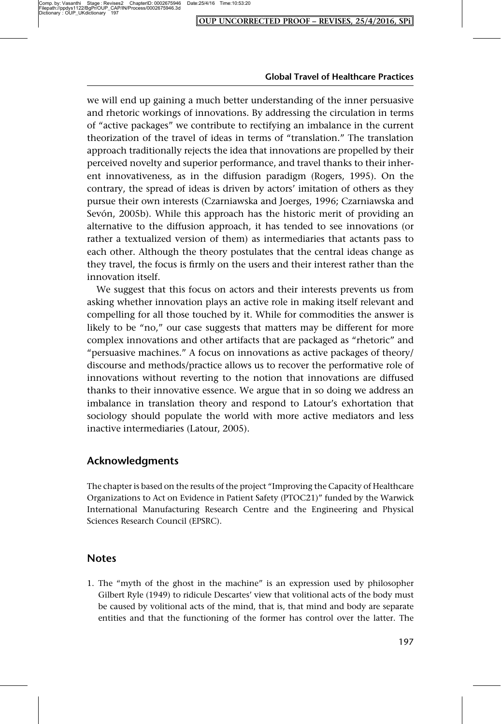#### **Global Travel of Healthcare Practices**

we will end up gaining a much better understanding of the inner persuasive and rhetoric workings of innovations. By addressing the circulation in terms of "active packages" we contribute to rectifying an imbalance in the current theorization of the travel of ideas in terms of "translation." The translation approach traditionally rejects the idea that innovations are propelled by their perceived novelty and superior performance, and travel thanks to their inherent innovativeness, as in the diffusion paradigm (Rogers, 1995). On the contrary, the spread of ideas is driven by actors' imitation of others as they pursue their own interests (Czarniawska and Joerges, 1996; Czarniawska and Sevón, 2005b). While this approach has the historic merit of providing an alternative to the diffusion approach, it has tended to see innovations (or rather a textualized version of them) as intermediaries that actants pass to each other. Although the theory postulates that the central ideas change as they travel, the focus is firmly on the users and their interest rather than the innovation itself.

We suggest that this focus on actors and their interests prevents us from asking whether innovation plays an active role in making itself relevant and compelling for all those touched by it. While for commodities the answer is likely to be "no," our case suggests that matters may be different for more complex innovations and other artifacts that are packaged as "rhetoric" and "persuasive machines." A focus on innovations as active packages of theory/ discourse and methods/practice allows us to recover the performative role of innovations without reverting to the notion that innovations are diffused thanks to their innovative essence. We argue that in so doing we address an imbalance in translation theory and respond to Latour's exhortation that sociology should populate the world with more active mediators and less inactive intermediaries (Latour, 2005).

# **Acknowledgments**

The chapter is based on the results of the project "Improving the Capacity of Healthcare Organizations to Act on Evidence in Patient Safety (PTOC21)" funded by the Warwick International Manufacturing Research Centre and the Engineering and Physical Sciences Research Council (EPSRC).

# **Notes**

1. The "myth of the ghost in the machine" is an expression used by philosopher Gilbert Ryle (1949) to ridicule Descartes' view that volitional acts of the body must be caused by volitional acts of the mind, that is, that mind and body are separate entities and that the functioning of the former has control over the latter. The